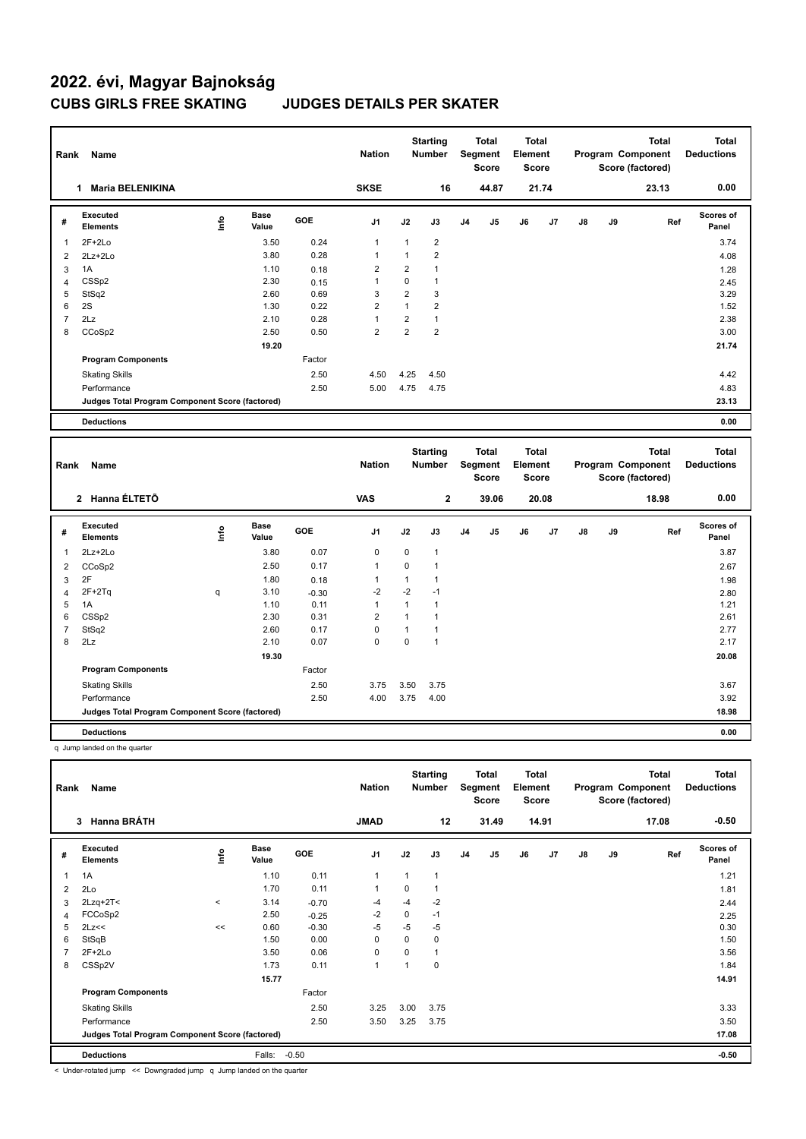| Rank           | Name                                            |      |                      |        | <b>Nation</b>  |                | <b>Starting</b><br><b>Number</b> |                | <b>Total</b><br>Segment<br><b>Score</b> | <b>Total</b><br>Element<br>Score        |       |               |    | <b>Total</b><br>Program Component<br>Score (factored) | <b>Total</b><br><b>Deductions</b> |
|----------------|-------------------------------------------------|------|----------------------|--------|----------------|----------------|----------------------------------|----------------|-----------------------------------------|-----------------------------------------|-------|---------------|----|-------------------------------------------------------|-----------------------------------|
|                | <b>Maria BELENIKINA</b><br>1                    |      |                      |        | <b>SKSE</b>    |                | 16                               |                | 44.87                                   |                                         | 21.74 |               |    | 23.13                                                 | 0.00                              |
| #              | Executed<br><b>Elements</b>                     | ١nfo | <b>Base</b><br>Value | GOE    | J <sub>1</sub> | J2             | J3                               | J <sub>4</sub> | J <sub>5</sub>                          | J6                                      | J7    | J8            | J9 | Ref                                                   | Scores of<br>Panel                |
| 1              | $2F+2Lo$                                        |      | 3.50                 | 0.24   | $\mathbf{1}$   | 1              | $\overline{2}$                   |                |                                         |                                         |       |               |    |                                                       | 3.74                              |
| $\overline{2}$ | $2Lz + 2Lo$                                     |      | 3.80                 | 0.28   | $\mathbf{1}$   | $\mathbf{1}$   | $\overline{2}$                   |                |                                         |                                         |       |               |    |                                                       | 4.08                              |
| 3              | 1A                                              |      | 1.10                 | 0.18   | $\overline{2}$ | $\overline{2}$ | 1                                |                |                                         |                                         |       |               |    |                                                       | 1.28                              |
| $\overline{4}$ | CSS <sub>p2</sub>                               |      | 2.30                 | 0.15   | $\overline{1}$ | $\mathbf 0$    | $\mathbf{1}$                     |                |                                         |                                         |       |               |    |                                                       | 2.45                              |
| 5              | StSq2                                           |      | 2.60                 | 0.69   | 3              | $\overline{2}$ | 3                                |                |                                         |                                         |       |               |    |                                                       | 3.29                              |
| 6              | 2S                                              |      | 1.30                 | 0.22   | $\overline{2}$ | $\mathbf{1}$   | $\overline{2}$                   |                |                                         |                                         |       |               |    |                                                       | 1.52                              |
| $\overline{7}$ | 2Lz                                             |      | 2.10                 | 0.28   | $\mathbf{1}$   | $\overline{2}$ | $\mathbf{1}$                     |                |                                         |                                         |       |               |    |                                                       | 2.38                              |
| 8              | CCoSp2                                          |      | 2.50                 | 0.50   | $\overline{2}$ | $\overline{2}$ | $\overline{2}$                   |                |                                         |                                         |       |               |    |                                                       | 3.00                              |
|                |                                                 |      | 19.20                |        |                |                |                                  |                |                                         |                                         |       |               |    |                                                       | 21.74                             |
|                | <b>Program Components</b>                       |      |                      | Factor |                |                |                                  |                |                                         |                                         |       |               |    |                                                       |                                   |
|                | <b>Skating Skills</b>                           |      |                      | 2.50   | 4.50           | 4.25           | 4.50                             |                |                                         |                                         |       |               |    |                                                       | 4.42                              |
|                | Performance                                     |      |                      | 2.50   | 5.00           | 4.75           | 4.75                             |                |                                         |                                         |       |               |    |                                                       | 4.83                              |
|                | Judges Total Program Component Score (factored) |      |                      |        |                |                |                                  |                |                                         |                                         |       |               |    |                                                       | 23.13                             |
|                | <b>Deductions</b>                               |      |                      |        |                |                |                                  |                |                                         |                                         |       |               |    |                                                       | 0.00                              |
|                |                                                 |      |                      |        |                |                |                                  |                |                                         |                                         |       |               |    |                                                       |                                   |
| Rank           | Name                                            |      |                      |        | <b>Nation</b>  |                | <b>Starting</b><br><b>Number</b> |                | <b>Total</b><br>Segment<br><b>Score</b> | <b>Total</b><br>Element<br><b>Score</b> |       |               |    | <b>Total</b><br>Program Component<br>Score (factored) | <b>Total</b><br><b>Deductions</b> |
|                | 2 Hanna ÉLTETÕ                                  |      |                      |        | <b>VAS</b>     |                | 2                                |                | 39.06                                   |                                         | 20.08 |               |    | 18.98                                                 | 0.00                              |
| #              | Executed<br><b>Elements</b>                     | ۴ů   | <b>Base</b><br>Value | GOE    | J <sub>1</sub> | J2             | J3                               | J <sub>4</sub> | J <sub>5</sub>                          | J6                                      | J7    | $\mathsf{J}8$ | J9 | Ref                                                   | <b>Scores of</b><br>Panel         |
| 1              | $2Lz + 2Lo$                                     |      | 3.80                 | 0.07   | 0              | 0              | $\mathbf{1}$                     |                |                                         |                                         |       |               |    |                                                       | 3.87                              |

2 CCoSp2 2.50 0.17 1 0 1 2.67  $3 \quad 2$ F 1.98  $1.80 \quad 0.18$  1 1 1

4 2F+2Tq q 3.10 -0.30 -2 -2 -1 2.80 5 1A 1.10 0.11 1 1 1 1.21 6 CSSp2 2.30 0.31 2 1 1 2.61 7 StSq2 2.60 0.17 0 1 1 2.77 8 2Lz 2.10 0.07 0 0 1 2.17  **19.30 20.08 Program Components**  Skating Skills 3.75 3.50 3.75 2.50 3.67 Factor Performance 2.50 4.00 3.75 4.00 3.92 **Deductions 0.00 Judges Total Program Component Score (factored) 18.98**

q Jump landed on the quarter

| Rank           | Name<br><b>Hanna BRÁTH</b><br>3                 |          |                      |            |                |              | <b>Starting</b><br><b>Number</b> |                | Total<br>Segment<br><b>Score</b> | <b>Total</b><br>Element<br><b>Score</b> |                |    |    | <b>Total</b><br>Program Component<br>Score (factored) | <b>Total</b><br><b>Deductions</b> |
|----------------|-------------------------------------------------|----------|----------------------|------------|----------------|--------------|----------------------------------|----------------|----------------------------------|-----------------------------------------|----------------|----|----|-------------------------------------------------------|-----------------------------------|
|                |                                                 |          |                      |            | <b>JMAD</b>    |              | 12                               |                | 31.49                            |                                         | 14.91          |    |    | 17.08                                                 | $-0.50$                           |
| #              | Executed<br><b>Elements</b>                     | ۴ů       | <b>Base</b><br>Value | <b>GOE</b> | J <sub>1</sub> | J2           | J3                               | J <sub>4</sub> | J5                               | J6                                      | J <sub>7</sub> | J8 | J9 | Ref                                                   | <b>Scores of</b><br>Panel         |
| 1              | 1A                                              |          | 1.10                 | 0.11       | $\overline{1}$ | $\mathbf{1}$ | 1                                |                |                                  |                                         |                |    |    |                                                       | 1.21                              |
| 2              | 2Lo                                             |          | 1.70                 | 0.11       | $\overline{1}$ | 0            | 1                                |                |                                  |                                         |                |    |    |                                                       | 1.81                              |
| 3              | $2Lzq+2T2$                                      | $\hat{}$ | 3.14                 | $-0.70$    | $-4$           | $-4$         | $-2$                             |                |                                  |                                         |                |    |    |                                                       | 2.44                              |
| $\overline{4}$ | FCCoSp2                                         |          | 2.50                 | $-0.25$    | $-2$           | 0            | $-1$                             |                |                                  |                                         |                |    |    |                                                       | 2.25                              |
| 5              | 2Lz<<                                           | <<       | 0.60                 | $-0.30$    | -5             | $-5$         | -5                               |                |                                  |                                         |                |    |    |                                                       | 0.30                              |
| 6              | StSqB                                           |          | 1.50                 | 0.00       | $\mathbf 0$    | 0            | 0                                |                |                                  |                                         |                |    |    |                                                       | 1.50                              |
| 7              | $2F+2Lo$                                        |          | 3.50                 | 0.06       | $\mathbf 0$    | $\Omega$     | 1                                |                |                                  |                                         |                |    |    |                                                       | 3.56                              |
| 8              | CSSp2V                                          |          | 1.73                 | 0.11       | $\overline{1}$ |              | 0                                |                |                                  |                                         |                |    |    |                                                       | 1.84                              |
|                |                                                 |          | 15.77                |            |                |              |                                  |                |                                  |                                         |                |    |    |                                                       | 14.91                             |
|                | <b>Program Components</b>                       |          |                      | Factor     |                |              |                                  |                |                                  |                                         |                |    |    |                                                       |                                   |
|                | <b>Skating Skills</b>                           |          |                      | 2.50       | 3.25           | 3.00         | 3.75                             |                |                                  |                                         |                |    |    |                                                       | 3.33                              |
|                | Performance                                     |          |                      | 2.50       | 3.50           | 3.25         | 3.75                             |                |                                  |                                         |                |    |    |                                                       | 3.50                              |
|                | Judges Total Program Component Score (factored) |          |                      |            |                |              |                                  |                |                                  |                                         |                |    |    |                                                       | 17.08                             |
|                | <b>Deductions</b>                               |          | Falls:               | $-0.50$    |                |              |                                  |                |                                  |                                         |                |    |    |                                                       | $-0.50$                           |

< Under-rotated jump << Downgraded jump q Jump landed on the quarter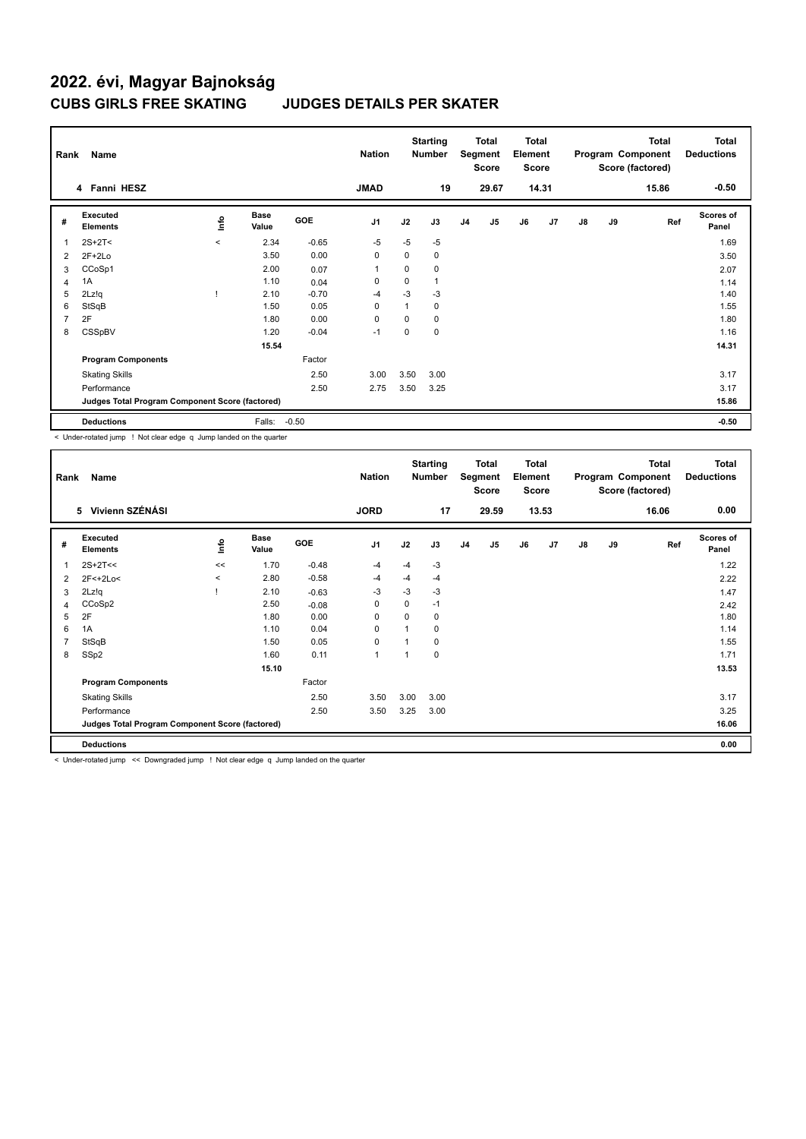| Rank | Name                                            |         | <b>Nation</b>        |         | <b>Starting</b><br><b>Number</b> |             | Total<br>Segment<br><b>Score</b> | <b>Total</b><br>Element<br><b>Score</b> |       |    |       | <b>Total</b><br>Program Component<br>Score (factored) | <b>Total</b><br><b>Deductions</b> |       |                           |
|------|-------------------------------------------------|---------|----------------------|---------|----------------------------------|-------------|----------------------------------|-----------------------------------------|-------|----|-------|-------------------------------------------------------|-----------------------------------|-------|---------------------------|
|      | 4 Fanni HESZ                                    |         |                      |         | <b>JMAD</b>                      |             | 19                               |                                         | 29.67 |    | 14.31 |                                                       |                                   | 15.86 | $-0.50$                   |
| #    | Executed<br><b>Elements</b>                     | lnfo    | <b>Base</b><br>Value | GOE     | J <sub>1</sub>                   | J2          | J3                               | J <sub>4</sub>                          | J5    | J6 | J7    | $\mathsf{J}8$                                         | J9                                | Ref   | <b>Scores of</b><br>Panel |
| 1    | $2S+2T<$                                        | $\prec$ | 2.34                 | $-0.65$ | $-5$                             | $-5$        | $-5$                             |                                         |       |    |       |                                                       |                                   |       | 1.69                      |
| 2    | $2F+2Lo$                                        |         | 3.50                 | 0.00    | 0                                | 0           | 0                                |                                         |       |    |       |                                                       |                                   |       | 3.50                      |
| 3    | CCoSp1                                          |         | 2.00                 | 0.07    | $\overline{1}$                   | 0           | 0                                |                                         |       |    |       |                                                       |                                   |       | 2.07                      |
| 4    | 1A                                              |         | 1.10                 | 0.04    | 0                                | $\mathbf 0$ |                                  |                                         |       |    |       |                                                       |                                   |       | 1.14                      |
| 5    | 2Lz!q                                           |         | 2.10                 | $-0.70$ | -4                               | $-3$        | $-3$                             |                                         |       |    |       |                                                       |                                   |       | 1.40                      |
| 6    | StSqB                                           |         | 1.50                 | 0.05    | $\mathbf 0$                      | 1           | 0                                |                                         |       |    |       |                                                       |                                   |       | 1.55                      |
| 7    | 2F                                              |         | 1.80                 | 0.00    | 0                                | $\Omega$    | 0                                |                                         |       |    |       |                                                       |                                   |       | 1.80                      |
| 8    | CSSpBV                                          |         | 1.20                 | $-0.04$ | -1                               | 0           | 0                                |                                         |       |    |       |                                                       |                                   |       | 1.16                      |
|      |                                                 |         | 15.54                |         |                                  |             |                                  |                                         |       |    |       |                                                       |                                   |       | 14.31                     |
|      | <b>Program Components</b>                       |         |                      | Factor  |                                  |             |                                  |                                         |       |    |       |                                                       |                                   |       |                           |
|      | <b>Skating Skills</b>                           |         |                      | 2.50    | 3.00                             | 3.50        | 3.00                             |                                         |       |    |       |                                                       |                                   |       | 3.17                      |
|      | Performance                                     |         |                      | 2.50    | 2.75                             | 3.50        | 3.25                             |                                         |       |    |       |                                                       |                                   |       | 3.17                      |
|      | Judges Total Program Component Score (factored) |         |                      |         |                                  |             |                                  |                                         |       |    |       |                                                       |                                   |       | 15.86                     |
|      | <b>Deductions</b>                               |         | Falls:               | $-0.50$ |                                  |             |                                  |                                         |       |    |       |                                                       |                                   |       | $-0.50$                   |

< Under-rotated jump ! Not clear edge q Jump landed on the quarter

| Rank | Name                                            |         | <b>Nation</b>        |            | <b>Starting</b><br>Number |             | <b>Total</b><br>Segment<br><b>Score</b> | <b>Total</b><br>Element<br><b>Score</b> |                |    |                | <b>Total</b><br>Program Component<br>Score (factored) | <b>Total</b><br><b>Deductions</b> |       |                           |
|------|-------------------------------------------------|---------|----------------------|------------|---------------------------|-------------|-----------------------------------------|-----------------------------------------|----------------|----|----------------|-------------------------------------------------------|-----------------------------------|-------|---------------------------|
|      | 5 Vivienn SZÉNÁSI                               |         |                      |            | <b>JORD</b>               |             | 17                                      |                                         | 29.59          |    | 13.53          |                                                       |                                   | 16.06 | 0.00                      |
| #    | Executed<br><b>Elements</b>                     | ١nf٥    | <b>Base</b><br>Value | <b>GOE</b> | J <sub>1</sub>            | J2          | J3                                      | J <sub>4</sub>                          | J <sub>5</sub> | J6 | J <sub>7</sub> | J8                                                    | J9                                | Ref   | <b>Scores of</b><br>Panel |
| 1    | $2S+2T<<$                                       | <<      | 1.70                 | $-0.48$    | -4                        | $-4$        | $-3$                                    |                                         |                |    |                |                                                       |                                   |       | 1.22                      |
| 2    | 2F<+2Lo<                                        | $\prec$ | 2.80                 | $-0.58$    | -4                        | $-4$        | $-4$                                    |                                         |                |    |                |                                                       |                                   |       | 2.22                      |
| 3    | 2Lz!q                                           |         | 2.10                 | $-0.63$    | -3                        | $-3$        | $-3$                                    |                                         |                |    |                |                                                       |                                   |       | 1.47                      |
| 4    | CCoSp2                                          |         | 2.50                 | $-0.08$    | 0                         | 0           | $-1$                                    |                                         |                |    |                |                                                       |                                   |       | 2.42                      |
| 5    | 2F                                              |         | 1.80                 | 0.00       | 0                         | $\mathbf 0$ | 0                                       |                                         |                |    |                |                                                       |                                   |       | 1.80                      |
| 6    | 1A                                              |         | 1.10                 | 0.04       | 0                         |             | 0                                       |                                         |                |    |                |                                                       |                                   |       | 1.14                      |
| 7    | StSqB                                           |         | 1.50                 | 0.05       | 0                         |             | 0                                       |                                         |                |    |                |                                                       |                                   |       | 1.55                      |
| 8    | SSp2                                            |         | 1.60                 | 0.11       | $\overline{1}$            |             | 0                                       |                                         |                |    |                |                                                       |                                   |       | 1.71                      |
|      |                                                 |         | 15.10                |            |                           |             |                                         |                                         |                |    |                |                                                       |                                   |       | 13.53                     |
|      | <b>Program Components</b>                       |         |                      | Factor     |                           |             |                                         |                                         |                |    |                |                                                       |                                   |       |                           |
|      | <b>Skating Skills</b>                           |         |                      | 2.50       | 3.50                      | 3.00        | 3.00                                    |                                         |                |    |                |                                                       |                                   |       | 3.17                      |
|      | Performance                                     |         |                      | 2.50       | 3.50                      | 3.25        | 3.00                                    |                                         |                |    |                |                                                       |                                   |       | 3.25                      |
|      | Judges Total Program Component Score (factored) |         |                      |            |                           |             |                                         |                                         |                |    |                |                                                       |                                   |       | 16.06                     |
|      | <b>Deductions</b>                               |         |                      |            |                           |             |                                         |                                         |                |    |                |                                                       |                                   |       | 0.00                      |

< Under-rotated jump << Downgraded jump ! Not clear edge q Jump landed on the quarter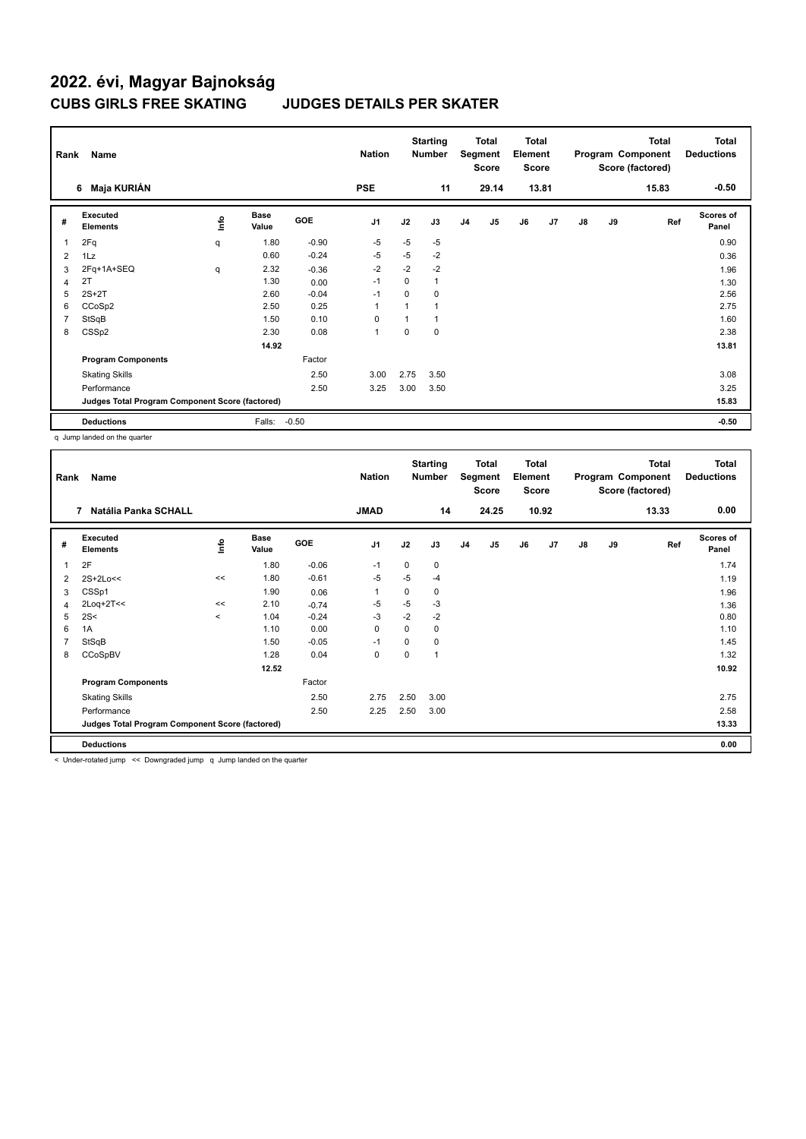| Rank           | Name                                            |      | <b>Nation</b>        |         | <b>Starting</b><br><b>Number</b> |          | Total<br>Segment<br><b>Score</b> | <b>Total</b><br>Element<br><b>Score</b> |       |    |       | Total<br>Program Component<br>Score (factored) | <b>Total</b><br><b>Deductions</b> |       |                    |
|----------------|-------------------------------------------------|------|----------------------|---------|----------------------------------|----------|----------------------------------|-----------------------------------------|-------|----|-------|------------------------------------------------|-----------------------------------|-------|--------------------|
|                | Maja KURIÁN<br>6                                |      |                      |         | <b>PSE</b>                       |          | 11                               |                                         | 29.14 |    | 13.81 |                                                |                                   | 15.83 | $-0.50$            |
| #              | Executed<br><b>Elements</b>                     | lnfo | <b>Base</b><br>Value | GOE     | J <sub>1</sub>                   | J2       | J3                               | J <sub>4</sub>                          | J5    | J6 | J7    | $\mathsf{J}8$                                  | J9                                | Ref   | Scores of<br>Panel |
| 1              | 2Fq                                             | q    | 1.80                 | $-0.90$ | -5                               | $-5$     | $-5$                             |                                         |       |    |       |                                                |                                   |       | 0.90               |
| 2              | 1Lz                                             |      | 0.60                 | $-0.24$ | $-5$                             | $-5$     | $-2$                             |                                         |       |    |       |                                                |                                   |       | 0.36               |
| 3              | 2Fq+1A+SEQ                                      | q    | 2.32                 | $-0.36$ | $-2$                             | $-2$     | $-2$                             |                                         |       |    |       |                                                |                                   |       | 1.96               |
| 4              | 2T                                              |      | 1.30                 | 0.00    | $-1$                             | 0        | 1                                |                                         |       |    |       |                                                |                                   |       | 1.30               |
| 5              | $2S+2T$                                         |      | 2.60                 | $-0.04$ | $-1$                             | 0        | 0                                |                                         |       |    |       |                                                |                                   |       | 2.56               |
| 6              | CCoSp2                                          |      | 2.50                 | 0.25    | $\overline{1}$                   | 1        | 1                                |                                         |       |    |       |                                                |                                   |       | 2.75               |
| $\overline{7}$ | StSqB                                           |      | 1.50                 | 0.10    | 0                                |          | 1                                |                                         |       |    |       |                                                |                                   |       | 1.60               |
| 8              | CSSp2                                           |      | 2.30                 | 0.08    | $\mathbf{1}$                     | $\Omega$ | 0                                |                                         |       |    |       |                                                |                                   |       | 2.38               |
|                |                                                 |      | 14.92                |         |                                  |          |                                  |                                         |       |    |       |                                                |                                   |       | 13.81              |
|                | <b>Program Components</b>                       |      |                      | Factor  |                                  |          |                                  |                                         |       |    |       |                                                |                                   |       |                    |
|                | <b>Skating Skills</b>                           |      |                      | 2.50    | 3.00                             | 2.75     | 3.50                             |                                         |       |    |       |                                                |                                   |       | 3.08               |
|                | Performance                                     |      |                      | 2.50    | 3.25                             | 3.00     | 3.50                             |                                         |       |    |       |                                                |                                   |       | 3.25               |
|                | Judges Total Program Component Score (factored) |      |                      |         |                                  |          |                                  |                                         |       |    |       |                                                |                                   |       | 15.83              |
|                | <b>Deductions</b>                               |      | Falls:               | $-0.50$ |                                  |          |                                  |                                         |       |    |       |                                                |                                   |       | $-0.50$            |

q Jump landed on the quarter

| Rank           | Name                                            |          |               |            | <b>Nation</b>  |          | <b>Starting</b><br><b>Number</b> |                | <b>Total</b><br>Segment<br><b>Score</b> | <b>Total</b><br>Element<br><b>Score</b> |                |    |    | <b>Total</b><br>Program Component<br>Score (factored) | <b>Total</b><br><b>Deductions</b> |
|----------------|-------------------------------------------------|----------|---------------|------------|----------------|----------|----------------------------------|----------------|-----------------------------------------|-----------------------------------------|----------------|----|----|-------------------------------------------------------|-----------------------------------|
|                | Natália Panka SCHALL<br>7                       |          |               |            | <b>JMAD</b>    |          | 14                               |                | 24.25                                   |                                         | 10.92          |    |    | 13.33                                                 | 0.00                              |
| #              | Executed<br><b>Elements</b>                     | lnfo     | Base<br>Value | <b>GOE</b> | J <sub>1</sub> | J2       | J3                               | J <sub>4</sub> | J <sub>5</sub>                          | J6                                      | J <sub>7</sub> | J8 | J9 | Ref                                                   | <b>Scores of</b><br>Panel         |
|                | 2F                                              |          | 1.80          | $-0.06$    | $-1$           | 0        | 0                                |                |                                         |                                         |                |    |    |                                                       | 1.74                              |
| 2              | $2S+2Lo<<$                                      | <<       | 1.80          | $-0.61$    | $-5$           | $-5$     | $-4$                             |                |                                         |                                         |                |    |    |                                                       | 1.19                              |
| 3              | CSSp1                                           |          | 1.90          | 0.06       | $\mathbf{1}$   | 0        | 0                                |                |                                         |                                         |                |    |    |                                                       | 1.96                              |
| 4              | $2$ Loq+ $2$ T<<                                | <<       | 2.10          | $-0.74$    | -5             | $-5$     | $-3$                             |                |                                         |                                         |                |    |    |                                                       | 1.36                              |
| 5              | 2S<                                             | $\hat{}$ | 1.04          | $-0.24$    | -3             | $-2$     | $-2$                             |                |                                         |                                         |                |    |    |                                                       | 0.80                              |
| 6              | 1A                                              |          | 1.10          | 0.00       | 0              | 0        | 0                                |                |                                         |                                         |                |    |    |                                                       | 1.10                              |
| $\overline{7}$ | StSqB                                           |          | 1.50          | $-0.05$    | $-1$           | $\Omega$ | 0                                |                |                                         |                                         |                |    |    |                                                       | 1.45                              |
| 8              | CCoSpBV                                         |          | 1.28          | 0.04       | 0              | 0        | 1                                |                |                                         |                                         |                |    |    |                                                       | 1.32                              |
|                |                                                 |          | 12.52         |            |                |          |                                  |                |                                         |                                         |                |    |    |                                                       | 10.92                             |
|                | <b>Program Components</b>                       |          |               | Factor     |                |          |                                  |                |                                         |                                         |                |    |    |                                                       |                                   |
|                | <b>Skating Skills</b>                           |          |               | 2.50       | 2.75           | 2.50     | 3.00                             |                |                                         |                                         |                |    |    |                                                       | 2.75                              |
|                | Performance                                     |          |               | 2.50       | 2.25           | 2.50     | 3.00                             |                |                                         |                                         |                |    |    |                                                       | 2.58                              |
|                | Judges Total Program Component Score (factored) |          |               |            |                |          |                                  |                |                                         |                                         |                |    |    |                                                       | 13.33                             |
|                | <b>Deductions</b>                               |          |               |            |                |          |                                  |                |                                         |                                         |                |    |    |                                                       | 0.00                              |

< Under-rotated jump << Downgraded jump q Jump landed on the quarter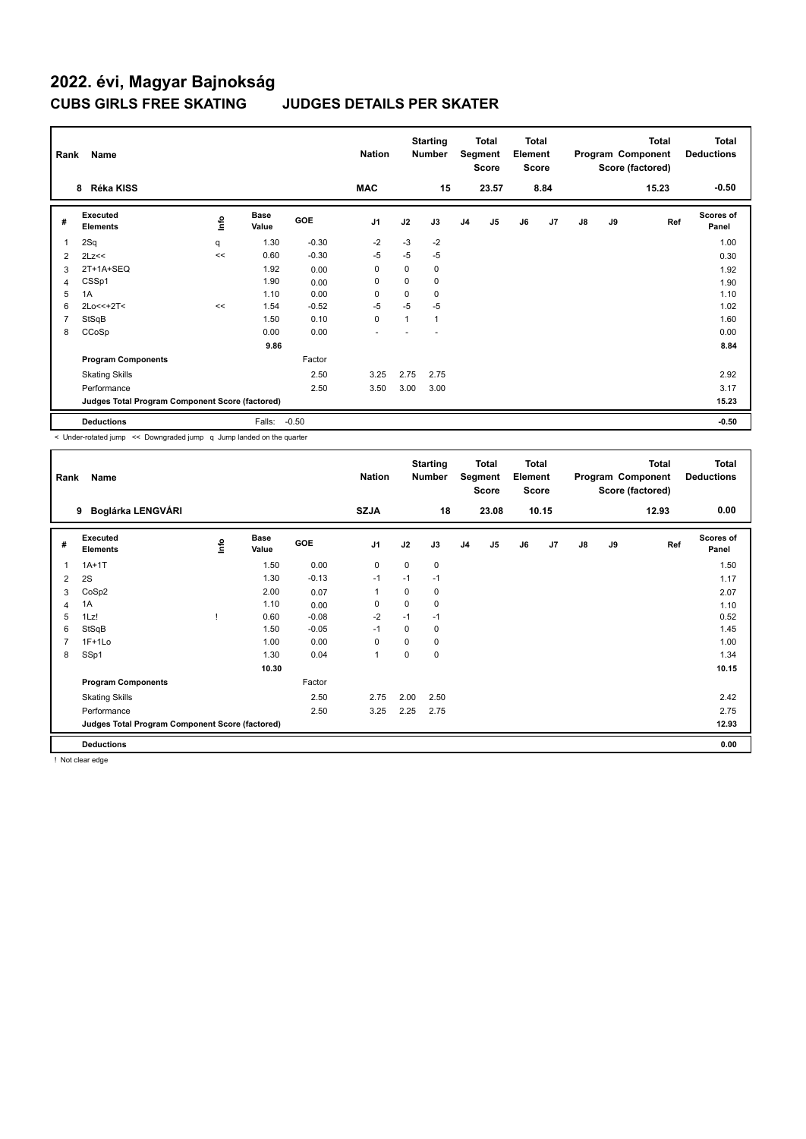| Rank | Name                                            |      |                      |            | <b>Nation</b>  |          | <b>Starting</b><br><b>Number</b> |                | <b>Total</b><br>Segment<br><b>Score</b> | <b>Total</b><br>Element<br><b>Score</b> |      |               |    | <b>Total</b><br>Program Component<br>Score (factored) | Total<br><b>Deductions</b> |
|------|-------------------------------------------------|------|----------------------|------------|----------------|----------|----------------------------------|----------------|-----------------------------------------|-----------------------------------------|------|---------------|----|-------------------------------------------------------|----------------------------|
|      | Réka KISS<br>8                                  |      |                      |            | <b>MAC</b>     |          | 15                               |                | 23.57                                   |                                         | 8.84 |               |    | 15.23                                                 | $-0.50$                    |
| #    | <b>Executed</b><br><b>Elements</b>              | ١nfo | <b>Base</b><br>Value | <b>GOE</b> | J <sub>1</sub> | J2       | J3                               | J <sub>4</sub> | J5                                      | J6                                      | J7   | $\mathsf{J}8$ | J9 | Ref                                                   | <b>Scores of</b><br>Panel  |
| 1    | 2Sq                                             | q    | 1.30                 | $-0.30$    | $-2$           | $-3$     | $-2$                             |                |                                         |                                         |      |               |    |                                                       | 1.00                       |
| 2    | 2Lz<<                                           | <<   | 0.60                 | $-0.30$    | -5             | $-5$     | $-5$                             |                |                                         |                                         |      |               |    |                                                       | 0.30                       |
| 3    | 2T+1A+SEQ                                       |      | 1.92                 | 0.00       | 0              | 0        | 0                                |                |                                         |                                         |      |               |    |                                                       | 1.92                       |
| 4    | CSSp1                                           |      | 1.90                 | 0.00       | 0              | $\Omega$ | 0                                |                |                                         |                                         |      |               |    |                                                       | 1.90                       |
| 5    | 1A                                              |      | 1.10                 | 0.00       | $\Omega$       | $\Omega$ | 0                                |                |                                         |                                         |      |               |    |                                                       | 1.10                       |
| 6    | $2Lo<<+2T<$                                     | <<   | 1.54                 | $-0.52$    | $-5$           | $-5$     | $-5$                             |                |                                         |                                         |      |               |    |                                                       | 1.02                       |
| 7    | StSqB                                           |      | 1.50                 | 0.10       | 0              | 1        | 1                                |                |                                         |                                         |      |               |    |                                                       | 1.60                       |
| 8    | CCoSp                                           |      | 0.00                 | 0.00       | ٠              |          |                                  |                |                                         |                                         |      |               |    |                                                       | 0.00                       |
|      |                                                 |      | 9.86                 |            |                |          |                                  |                |                                         |                                         |      |               |    |                                                       | 8.84                       |
|      | <b>Program Components</b>                       |      |                      | Factor     |                |          |                                  |                |                                         |                                         |      |               |    |                                                       |                            |
|      | <b>Skating Skills</b>                           |      |                      | 2.50       | 3.25           | 2.75     | 2.75                             |                |                                         |                                         |      |               |    |                                                       | 2.92                       |
|      | Performance                                     |      |                      | 2.50       | 3.50           | 3.00     | 3.00                             |                |                                         |                                         |      |               |    |                                                       | 3.17                       |
|      | Judges Total Program Component Score (factored) |      |                      |            |                |          |                                  |                |                                         |                                         |      |               |    |                                                       | 15.23                      |
|      | <b>Deductions</b>                               |      | Falls:               | $-0.50$    |                |          |                                  |                |                                         |                                         |      |               |    |                                                       | $-0.50$                    |

< Under-rotated jump << Downgraded jump q Jump landed on the quarter

| Rank           | Name                                            |                                  |                      |         | <b>Nation</b>  |             | <b>Starting</b><br><b>Number</b> |                | Total<br>Segment<br><b>Score</b> | <b>Total</b><br>Element<br>Score |                |               |    | Total<br>Program Component<br>Score (factored) | <b>Total</b><br><b>Deductions</b> |
|----------------|-------------------------------------------------|----------------------------------|----------------------|---------|----------------|-------------|----------------------------------|----------------|----------------------------------|----------------------------------|----------------|---------------|----|------------------------------------------------|-----------------------------------|
|                | Boglárka LENGVÁRI<br>9                          |                                  |                      |         | <b>SZJA</b>    |             | 18                               |                | 23.08                            |                                  | 10.15          |               |    | 12.93                                          | 0.00                              |
| #              | Executed<br><b>Elements</b>                     | $\mathop{\mathsf{Irr}}\nolimits$ | <b>Base</b><br>Value | GOE     | J <sub>1</sub> | J2          | J3                               | J <sub>4</sub> | J5                               | J6                               | J <sub>7</sub> | $\mathsf{J}8$ | J9 | Ref                                            | Scores of<br>Panel                |
| 1              | $1A+1T$                                         |                                  | 1.50                 | 0.00    | 0              | $\mathbf 0$ | 0                                |                |                                  |                                  |                |               |    |                                                | 1.50                              |
| 2              | 2S                                              |                                  | 1.30                 | $-0.13$ | $-1$           | $-1$        | $-1$                             |                |                                  |                                  |                |               |    |                                                | 1.17                              |
| 3              | CoSp2                                           |                                  | 2.00                 | 0.07    | $\mathbf 1$    | 0           | 0                                |                |                                  |                                  |                |               |    |                                                | 2.07                              |
| 4              | 1A                                              |                                  | 1.10                 | 0.00    | 0              | 0           | 0                                |                |                                  |                                  |                |               |    |                                                | 1.10                              |
| 5              | 1Lz!                                            |                                  | 0.60                 | $-0.08$ | $-2$           | $-1$        | $-1$                             |                |                                  |                                  |                |               |    |                                                | 0.52                              |
| 6              | StSqB                                           |                                  | 1.50                 | $-0.05$ | $-1$           | 0           | 0                                |                |                                  |                                  |                |               |    |                                                | 1.45                              |
| $\overline{7}$ | $1F+1Lo$                                        |                                  | 1.00                 | 0.00    | 0              | 0           | 0                                |                |                                  |                                  |                |               |    |                                                | 1.00                              |
| 8              | SSp1                                            |                                  | 1.30                 | 0.04    | $\mathbf{1}$   | 0           | 0                                |                |                                  |                                  |                |               |    |                                                | 1.34                              |
|                |                                                 |                                  | 10.30                |         |                |             |                                  |                |                                  |                                  |                |               |    |                                                | 10.15                             |
|                | <b>Program Components</b>                       |                                  |                      | Factor  |                |             |                                  |                |                                  |                                  |                |               |    |                                                |                                   |
|                | <b>Skating Skills</b>                           |                                  |                      | 2.50    | 2.75           | 2.00        | 2.50                             |                |                                  |                                  |                |               |    |                                                | 2.42                              |
|                | Performance                                     |                                  |                      | 2.50    | 3.25           | 2.25        | 2.75                             |                |                                  |                                  |                |               |    |                                                | 2.75                              |
|                | Judges Total Program Component Score (factored) |                                  |                      |         |                |             |                                  |                |                                  |                                  |                |               |    |                                                | 12.93                             |
|                | <b>Deductions</b>                               |                                  |                      |         |                |             |                                  |                |                                  |                                  |                |               |    |                                                | 0.00                              |

! Not clear edge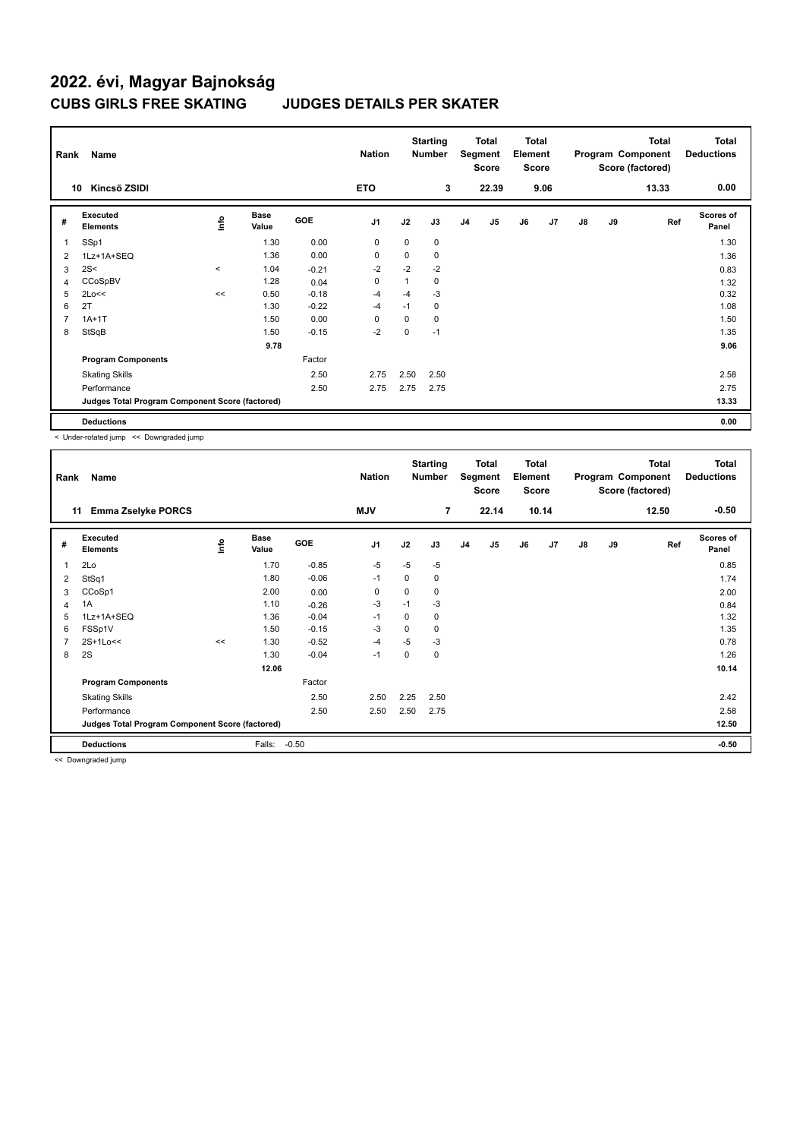| Rank           | Name                                            |         |                      |            | <b>Nation</b> |             | <b>Starting</b><br><b>Number</b> |                | Total<br>Segment<br><b>Score</b> | <b>Total</b><br>Element<br><b>Score</b> |      |               |    | <b>Total</b><br>Program Component<br>Score (factored) | <b>Total</b><br><b>Deductions</b> |
|----------------|-------------------------------------------------|---------|----------------------|------------|---------------|-------------|----------------------------------|----------------|----------------------------------|-----------------------------------------|------|---------------|----|-------------------------------------------------------|-----------------------------------|
|                | Kincsõ ZSIDI<br>10                              |         |                      |            | <b>ETO</b>    |             | 3                                |                | 22.39                            |                                         | 9.06 |               |    | 13.33                                                 | 0.00                              |
| #              | Executed<br><b>Elements</b>                     | lnfo    | <b>Base</b><br>Value | <b>GOE</b> | J1            | J2          | J3                               | J <sub>4</sub> | J5                               | J6                                      | J7   | $\mathsf{J}8$ | J9 | Ref                                                   | <b>Scores of</b><br>Panel         |
| 1              | SSp1                                            |         | 1.30                 | 0.00       | 0             | 0           | 0                                |                |                                  |                                         |      |               |    |                                                       | 1.30                              |
| 2              | 1Lz+1A+SEQ                                      |         | 1.36                 | 0.00       | $\mathbf 0$   | $\mathbf 0$ | 0                                |                |                                  |                                         |      |               |    |                                                       | 1.36                              |
| 3              | 2S<                                             | $\prec$ | 1.04                 | $-0.21$    | $-2$          | $-2$        | $-2$                             |                |                                  |                                         |      |               |    |                                                       | 0.83                              |
| 4              | CCoSpBV                                         |         | 1.28                 | 0.04       | $\mathbf 0$   |             | 0                                |                |                                  |                                         |      |               |    |                                                       | 1.32                              |
| 5              | 2Lo<<                                           | <<      | 0.50                 | $-0.18$    | -4            | $-4$        | $-3$                             |                |                                  |                                         |      |               |    |                                                       | 0.32                              |
| 6              | 2T                                              |         | 1.30                 | $-0.22$    | -4            | $-1$        | 0                                |                |                                  |                                         |      |               |    |                                                       | 1.08                              |
| $\overline{7}$ | $1A+1T$                                         |         | 1.50                 | 0.00       | 0             | 0           | 0                                |                |                                  |                                         |      |               |    |                                                       | 1.50                              |
| 8              | StSqB                                           |         | 1.50                 | $-0.15$    | $-2$          | 0           | $-1$                             |                |                                  |                                         |      |               |    |                                                       | 1.35                              |
|                |                                                 |         | 9.78                 |            |               |             |                                  |                |                                  |                                         |      |               |    |                                                       | 9.06                              |
|                | <b>Program Components</b>                       |         |                      | Factor     |               |             |                                  |                |                                  |                                         |      |               |    |                                                       |                                   |
|                | <b>Skating Skills</b>                           |         |                      | 2.50       | 2.75          | 2.50        | 2.50                             |                |                                  |                                         |      |               |    |                                                       | 2.58                              |
|                | Performance                                     |         |                      | 2.50       | 2.75          | 2.75        | 2.75                             |                |                                  |                                         |      |               |    |                                                       | 2.75                              |
|                | Judges Total Program Component Score (factored) |         |                      |            |               |             |                                  |                |                                  |                                         |      |               |    |                                                       | 13.33                             |
|                | <b>Deductions</b>                               |         |                      |            |               |             |                                  |                |                                  |                                         |      |               |    |                                                       | 0.00                              |

< Under-rotated jump << Downgraded jump

| Rank           | Name                                             |                                  |                      |         | <b>Nation</b> |             | <b>Starting</b><br><b>Number</b> |                | Total<br>Segment<br><b>Score</b> | <b>Total</b><br>Element<br><b>Score</b> |       |               |    | <b>Total</b><br>Program Component<br>Score (factored) | <b>Total</b><br><b>Deductions</b> |
|----------------|--------------------------------------------------|----------------------------------|----------------------|---------|---------------|-------------|----------------------------------|----------------|----------------------------------|-----------------------------------------|-------|---------------|----|-------------------------------------------------------|-----------------------------------|
|                | <b>Emma Zselyke PORCS</b><br>11                  |                                  |                      |         | <b>MJV</b>    |             | 7                                |                | 22.14                            |                                         | 10.14 |               |    | 12.50                                                 | $-0.50$                           |
| #              | Executed<br><b>Elements</b>                      | $\mathop{\mathsf{Int}}\nolimits$ | <b>Base</b><br>Value | GOE     | J1            | J2          | J3                               | J <sub>4</sub> | J <sub>5</sub>                   | J6                                      | J7    | $\mathsf{J}8$ | J9 | Ref                                                   | <b>Scores of</b><br>Panel         |
| $\mathbf{1}$   | 2Lo                                              |                                  | 1.70                 | $-0.85$ | $-5$          | $-5$        | $-5$                             |                |                                  |                                         |       |               |    |                                                       | 0.85                              |
| 2              | StSq1                                            |                                  | 1.80                 | $-0.06$ | $-1$          | $\mathbf 0$ | 0                                |                |                                  |                                         |       |               |    |                                                       | 1.74                              |
| 3              | CCoSp1                                           |                                  | 2.00                 | 0.00    | 0             | 0           | 0                                |                |                                  |                                         |       |               |    |                                                       | 2.00                              |
| $\overline{4}$ | 1A                                               |                                  | 1.10                 | $-0.26$ | $-3$          | $-1$        | $-3$                             |                |                                  |                                         |       |               |    |                                                       | 0.84                              |
| 5              | 1Lz+1A+SEQ                                       |                                  | 1.36                 | $-0.04$ | $-1$          | 0           | 0                                |                |                                  |                                         |       |               |    |                                                       | 1.32                              |
| 6              | FSSp1V                                           |                                  | 1.50                 | $-0.15$ | -3            | $\Omega$    | 0                                |                |                                  |                                         |       |               |    |                                                       | 1.35                              |
| 7              | 2S+1Lo<<                                         | <<                               | 1.30                 | $-0.52$ | $-4$          | $-5$        | $-3$                             |                |                                  |                                         |       |               |    |                                                       | 0.78                              |
| 8              | 2S                                               |                                  | 1.30                 | $-0.04$ | $-1$          | 0           | 0                                |                |                                  |                                         |       |               |    |                                                       | 1.26                              |
|                |                                                  |                                  | 12.06                |         |               |             |                                  |                |                                  |                                         |       |               |    |                                                       | 10.14                             |
|                | <b>Program Components</b>                        |                                  |                      | Factor  |               |             |                                  |                |                                  |                                         |       |               |    |                                                       |                                   |
|                | <b>Skating Skills</b>                            |                                  |                      | 2.50    | 2.50          | 2.25        | 2.50                             |                |                                  |                                         |       |               |    |                                                       | 2.42                              |
|                | Performance                                      |                                  |                      | 2.50    | 2.50          | 2.50        | 2.75                             |                |                                  |                                         |       |               |    |                                                       | 2.58                              |
|                | Judges Total Program Component Score (factored)  |                                  |                      |         |               |             |                                  |                |                                  |                                         |       |               |    |                                                       | 12.50                             |
|                | <b>Deductions</b>                                |                                  | Falls:               | $-0.50$ |               |             |                                  |                |                                  |                                         |       |               |    |                                                       | $-0.50$                           |
|                | $\sim$ $\sim$ $\sim$ $\sim$ $\sim$ $\sim$ $\sim$ |                                  |                      |         |               |             |                                  |                |                                  |                                         |       |               |    |                                                       |                                   |

<< Downgraded jump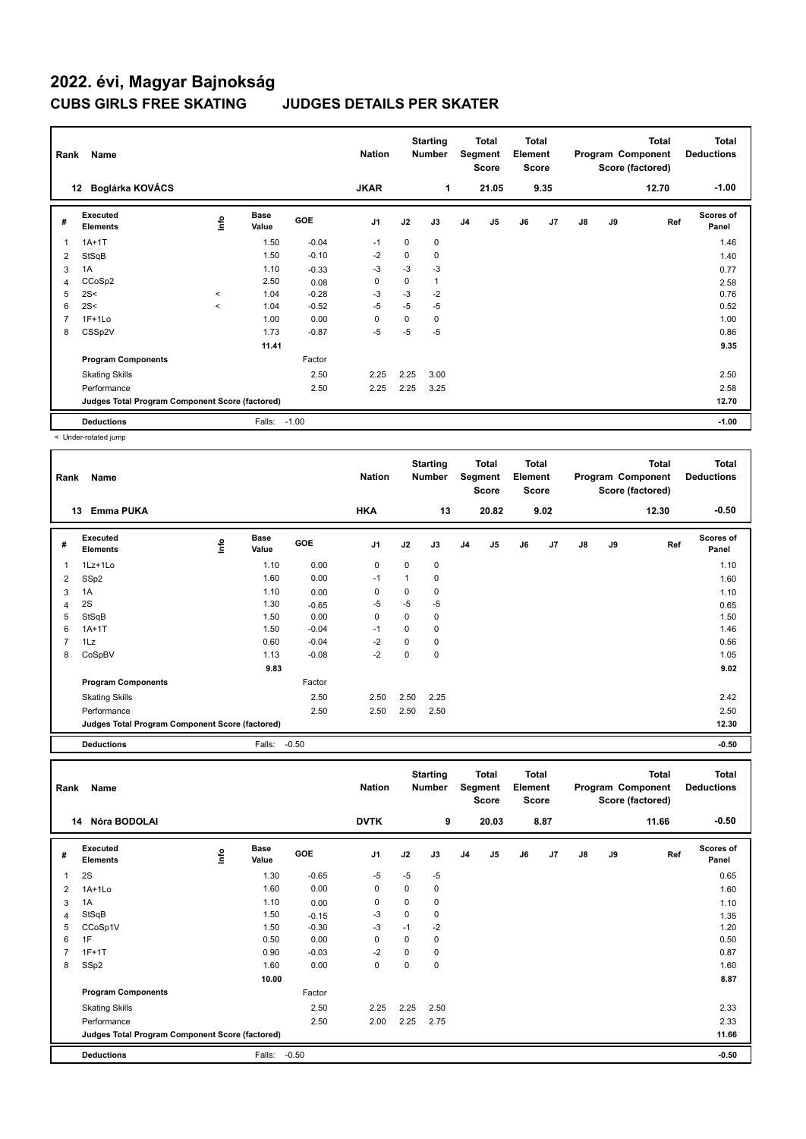| Rank           | Name                                            |         |                      |         | <b>Nation</b>  |             | <b>Starting</b><br><b>Number</b> |                | Total<br>Segment<br><b>Score</b> | <b>Total</b><br>Element<br>Score |                |               |    | <b>Total</b><br>Program Component<br>Score (factored) | Total<br><b>Deductions</b> |
|----------------|-------------------------------------------------|---------|----------------------|---------|----------------|-------------|----------------------------------|----------------|----------------------------------|----------------------------------|----------------|---------------|----|-------------------------------------------------------|----------------------------|
|                | Boglárka KOVÁCS<br>12                           |         |                      |         | <b>JKAR</b>    |             | 1                                |                | 21.05                            |                                  | 9.35           |               |    | 12.70                                                 | $-1.00$                    |
| #              | Executed<br><b>Elements</b>                     | ۴ů      | <b>Base</b><br>Value | GOE     | J <sub>1</sub> | J2          | J3                               | J <sub>4</sub> | J5                               | J6                               | J <sub>7</sub> | $\mathsf{J}8$ | J9 | Ref                                                   | <b>Scores of</b><br>Panel  |
| $\overline{1}$ | $1A+1T$                                         |         | 1.50                 | $-0.04$ | $-1$           | $\mathbf 0$ | 0                                |                |                                  |                                  |                |               |    |                                                       | 1.46                       |
| 2              | StSqB                                           |         | 1.50                 | $-0.10$ | $-2$           | 0           | 0                                |                |                                  |                                  |                |               |    |                                                       | 1.40                       |
| 3              | 1A                                              |         | 1.10                 | $-0.33$ | -3             | $-3$        | $-3$                             |                |                                  |                                  |                |               |    |                                                       | 0.77                       |
| 4              | CCoSp2                                          |         | 2.50                 | 0.08    | 0              | 0           | 1                                |                |                                  |                                  |                |               |    |                                                       | 2.58                       |
| 5              | 2S<                                             | $\prec$ | 1.04                 | $-0.28$ | $-3$           | -3          | $-2$                             |                |                                  |                                  |                |               |    |                                                       | 0.76                       |
| 6              | 2S<                                             | $\prec$ | 1.04                 | $-0.52$ | -5             | $-5$        | $-5$                             |                |                                  |                                  |                |               |    |                                                       | 0.52                       |
| $\overline{7}$ | $1F+1Lo$                                        |         | 1.00                 | 0.00    | 0              | 0           | 0                                |                |                                  |                                  |                |               |    |                                                       | 1.00                       |
| 8              | CSSp2V                                          |         | 1.73                 | $-0.87$ | $-5$           | $-5$        | $-5$                             |                |                                  |                                  |                |               |    |                                                       | 0.86                       |
|                |                                                 |         | 11.41                |         |                |             |                                  |                |                                  |                                  |                |               |    |                                                       | 9.35                       |
|                | <b>Program Components</b>                       |         |                      | Factor  |                |             |                                  |                |                                  |                                  |                |               |    |                                                       |                            |
|                | <b>Skating Skills</b>                           |         |                      | 2.50    | 2.25           | 2.25        | 3.00                             |                |                                  |                                  |                |               |    |                                                       | 2.50                       |
|                | Performance                                     |         |                      | 2.50    | 2.25           | 2.25        | 3.25                             |                |                                  |                                  |                |               |    |                                                       | 2.58                       |
|                | Judges Total Program Component Score (factored) |         |                      |         |                |             |                                  |                |                                  |                                  |                |               |    |                                                       | 12.70                      |
|                | <b>Deductions</b>                               |         | Falls:               | $-1.00$ |                |             |                                  |                |                                  |                                  |                |               |    |                                                       | $-1.00$                    |

< Under-rotated jump

| Rank | Name<br><b>Emma PUKA</b><br>13                  |      |                      |         |                |             | <b>Starting</b><br><b>Number</b> |                | Total<br>Segment<br><b>Score</b> | Total<br>Element<br>Score |      |    |    | <b>Total</b><br>Program Component<br>Score (factored) | <b>Total</b><br><b>Deductions</b> |
|------|-------------------------------------------------|------|----------------------|---------|----------------|-------------|----------------------------------|----------------|----------------------------------|---------------------------|------|----|----|-------------------------------------------------------|-----------------------------------|
|      |                                                 |      |                      |         | <b>HKA</b>     |             | 13                               |                | 20.82                            |                           | 9.02 |    |    | 12.30                                                 | $-0.50$                           |
| #    | Executed<br><b>Elements</b>                     | lnfo | <b>Base</b><br>Value | GOE     | J <sub>1</sub> | J2          | J3                               | J <sub>4</sub> | J5                               | J6                        | J7   | J8 | J9 | Ref                                                   | Scores of<br>Panel                |
| 1    | 1Lz+1Lo                                         |      | 1.10                 | 0.00    | $\mathbf 0$    | $\mathbf 0$ | 0                                |                |                                  |                           |      |    |    |                                                       | 1.10                              |
| 2    | SSp2                                            |      | 1.60                 | 0.00    | $-1$           | 1           | 0                                |                |                                  |                           |      |    |    |                                                       | 1.60                              |
| 3    | 1A                                              |      | 1.10                 | 0.00    | 0              | 0           | 0                                |                |                                  |                           |      |    |    |                                                       | 1.10                              |
| 4    | 2S                                              |      | 1.30                 | $-0.65$ | -5             | $-5$        | $-5$                             |                |                                  |                           |      |    |    |                                                       | 0.65                              |
| 5    | StSqB                                           |      | 1.50                 | 0.00    | 0              | 0           | 0                                |                |                                  |                           |      |    |    |                                                       | 1.50                              |
| 6    | $1A+1T$                                         |      | 1.50                 | $-0.04$ | $-1$           | 0           | 0                                |                |                                  |                           |      |    |    |                                                       | 1.46                              |
| 7    | 1Lz                                             |      | 0.60                 | $-0.04$ | $-2$           | 0           | 0                                |                |                                  |                           |      |    |    |                                                       | 0.56                              |
| 8    | CoSpBV                                          |      | 1.13                 | $-0.08$ | $-2$           | 0           | $\mathbf 0$                      |                |                                  |                           |      |    |    |                                                       | 1.05                              |
|      |                                                 |      | 9.83                 |         |                |             |                                  |                |                                  |                           |      |    |    |                                                       | 9.02                              |
|      | <b>Program Components</b>                       |      |                      | Factor  |                |             |                                  |                |                                  |                           |      |    |    |                                                       |                                   |
|      | <b>Skating Skills</b>                           |      |                      | 2.50    | 2.50           | 2.50        | 2.25                             |                |                                  |                           |      |    |    |                                                       | 2.42                              |
|      | Performance                                     |      |                      | 2.50    | 2.50           | 2.50        | 2.50                             |                |                                  |                           |      |    |    |                                                       | 2.50                              |
|      | Judges Total Program Component Score (factored) |      |                      |         |                |             |                                  |                |                                  |                           |      |    |    |                                                       | 12.30                             |
|      | <b>Deductions</b>                               |      | Falls:               | $-0.50$ |                |             |                                  |                |                                  |                           |      |    |    |                                                       | $-0.50$                           |

| Rank | Name                                            |      |                      |            | <b>Nation</b>  |             | <b>Starting</b><br><b>Number</b> |                | <b>Total</b><br>Segment<br>Score | <b>Total</b><br>Element<br><b>Score</b> |      |    |    | <b>Total</b><br>Program Component<br>Score (factored) | <b>Total</b><br><b>Deductions</b> |
|------|-------------------------------------------------|------|----------------------|------------|----------------|-------------|----------------------------------|----------------|----------------------------------|-----------------------------------------|------|----|----|-------------------------------------------------------|-----------------------------------|
|      | Nóra BODOLAI<br>14                              |      |                      |            | <b>DVTK</b>    |             | 9                                |                | 20.03                            |                                         | 8.87 |    |    | 11.66                                                 | $-0.50$                           |
| #    | Executed<br><b>Elements</b>                     | lnfo | <b>Base</b><br>Value | <b>GOE</b> | J <sub>1</sub> | J2          | J3                               | J <sub>4</sub> | J <sub>5</sub>                   | J6                                      | J7   | J8 | J9 | Ref                                                   | <b>Scores of</b><br>Panel         |
| 1    | 2S                                              |      | 1.30                 | $-0.65$    | $-5$           | $-5$        | -5                               |                |                                  |                                         |      |    |    |                                                       | 0.65                              |
| 2    | $1A+1Lo$                                        |      | 1.60                 | 0.00       | 0              | 0           | 0                                |                |                                  |                                         |      |    |    |                                                       | 1.60                              |
| 3    | 1A                                              |      | 1.10                 | 0.00       | $\mathbf 0$    | $\mathbf 0$ | $\mathbf 0$                      |                |                                  |                                         |      |    |    |                                                       | 1.10                              |
| 4    | StSqB                                           |      | 1.50                 | $-0.15$    | $-3$           | $\mathbf 0$ | $\mathbf 0$                      |                |                                  |                                         |      |    |    |                                                       | 1.35                              |
| 5    | CCoSp1V                                         |      | 1.50                 | $-0.30$    | $-3$           | $-1$        | $-2$                             |                |                                  |                                         |      |    |    |                                                       | 1.20                              |
| 6    | 1F                                              |      | 0.50                 | 0.00       | $\mathbf 0$    | 0           | $\mathbf 0$                      |                |                                  |                                         |      |    |    |                                                       | 0.50                              |
| 7    | $1F+1T$                                         |      | 0.90                 | $-0.03$    | $-2$           | $\Omega$    | $\Omega$                         |                |                                  |                                         |      |    |    |                                                       | 0.87                              |
| 8    | SSp2                                            |      | 1.60                 | 0.00       | $\mathbf 0$    | 0           | $\mathbf 0$                      |                |                                  |                                         |      |    |    |                                                       | 1.60                              |
|      |                                                 |      | 10.00                |            |                |             |                                  |                |                                  |                                         |      |    |    |                                                       | 8.87                              |
|      | <b>Program Components</b>                       |      |                      | Factor     |                |             |                                  |                |                                  |                                         |      |    |    |                                                       |                                   |
|      | <b>Skating Skills</b>                           |      |                      | 2.50       | 2.25           | 2.25        | 2.50                             |                |                                  |                                         |      |    |    |                                                       | 2.33                              |
|      | Performance                                     |      |                      | 2.50       | 2.00           | 2.25        | 2.75                             |                |                                  |                                         |      |    |    |                                                       | 2.33                              |
|      | Judges Total Program Component Score (factored) |      |                      |            |                |             |                                  |                |                                  |                                         |      |    |    |                                                       | 11.66                             |
|      | <b>Deductions</b>                               |      | Falls:               | $-0.50$    |                |             |                                  |                |                                  |                                         |      |    |    |                                                       | $-0.50$                           |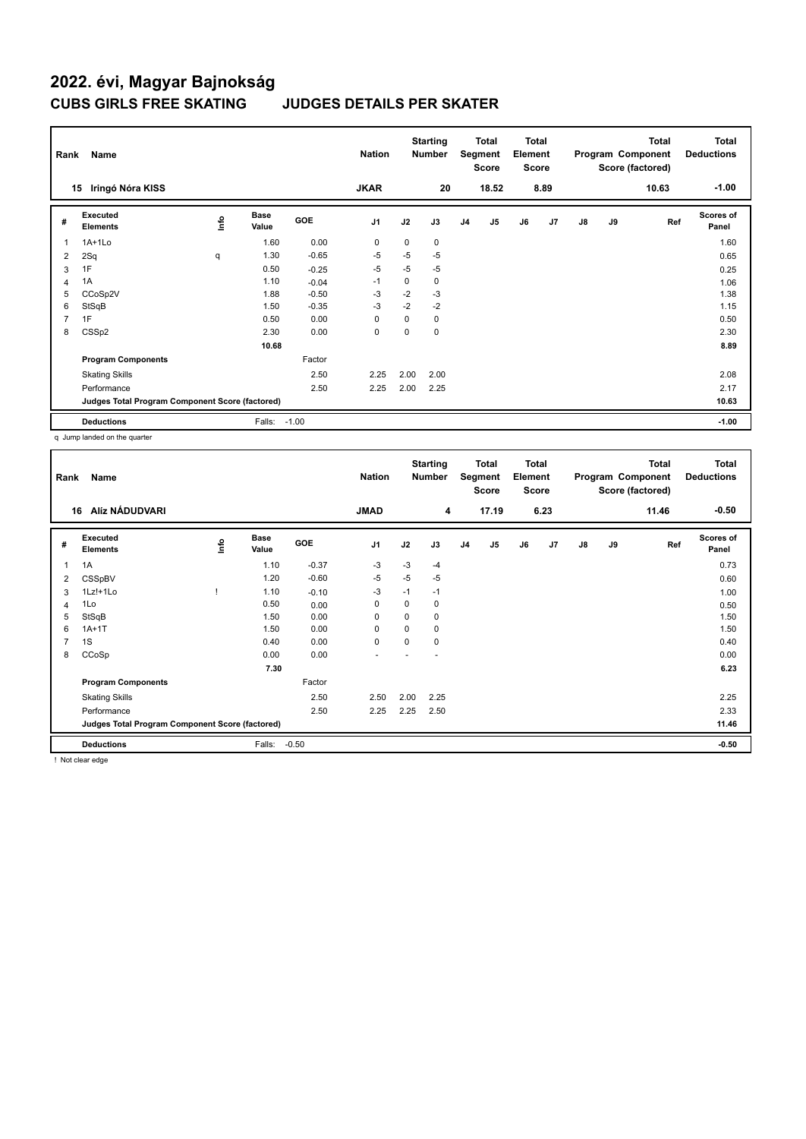| Rank           | Name                                            |             |                      |            | <b>Nation</b>  |      | <b>Starting</b><br><b>Number</b> |                | Total<br>Segment<br><b>Score</b> | <b>Total</b><br>Element<br><b>Score</b> |                |               |    | Total<br>Program Component<br>Score (factored) | <b>Total</b><br><b>Deductions</b> |
|----------------|-------------------------------------------------|-------------|----------------------|------------|----------------|------|----------------------------------|----------------|----------------------------------|-----------------------------------------|----------------|---------------|----|------------------------------------------------|-----------------------------------|
|                | Iringó Nóra KISS<br>15                          |             |                      |            | <b>JKAR</b>    |      | 20                               |                | 18.52                            |                                         | 8.89           |               |    | 10.63                                          | $-1.00$                           |
| #              | Executed<br><b>Elements</b>                     | <u>info</u> | <b>Base</b><br>Value | <b>GOE</b> | J <sub>1</sub> | J2   | J3                               | J <sub>4</sub> | J5                               | J6                                      | J <sub>7</sub> | $\mathsf{J}8$ | J9 | Ref                                            | Scores of<br>Panel                |
| $\overline{1}$ | $1A+1Lo$                                        |             | 1.60                 | 0.00       | 0              | 0    | 0                                |                |                                  |                                         |                |               |    |                                                | 1.60                              |
| 2              | 2Sq                                             | q           | 1.30                 | $-0.65$    | $-5$           | $-5$ | $-5$                             |                |                                  |                                         |                |               |    |                                                | 0.65                              |
| 3              | 1F                                              |             | 0.50                 | $-0.25$    | $-5$           | $-5$ | $-5$                             |                |                                  |                                         |                |               |    |                                                | 0.25                              |
| $\overline{4}$ | 1A                                              |             | 1.10                 | $-0.04$    | $-1$           | 0    | 0                                |                |                                  |                                         |                |               |    |                                                | 1.06                              |
| 5              | CCoSp2V                                         |             | 1.88                 | $-0.50$    | $-3$           | $-2$ | $-3$                             |                |                                  |                                         |                |               |    |                                                | 1.38                              |
| 6              | StSqB                                           |             | 1.50                 | $-0.35$    | $-3$           | $-2$ | $-2$                             |                |                                  |                                         |                |               |    |                                                | 1.15                              |
| 7              | 1F                                              |             | 0.50                 | 0.00       | 0              | 0    | 0                                |                |                                  |                                         |                |               |    |                                                | 0.50                              |
| 8              | CSS <sub>p2</sub>                               |             | 2.30                 | 0.00       | $\mathbf 0$    | 0    | 0                                |                |                                  |                                         |                |               |    |                                                | 2.30                              |
|                |                                                 |             | 10.68                |            |                |      |                                  |                |                                  |                                         |                |               |    |                                                | 8.89                              |
|                | <b>Program Components</b>                       |             |                      | Factor     |                |      |                                  |                |                                  |                                         |                |               |    |                                                |                                   |
|                | <b>Skating Skills</b>                           |             |                      | 2.50       | 2.25           | 2.00 | 2.00                             |                |                                  |                                         |                |               |    |                                                | 2.08                              |
|                | Performance                                     |             |                      | 2.50       | 2.25           | 2.00 | 2.25                             |                |                                  |                                         |                |               |    |                                                | 2.17                              |
|                | Judges Total Program Component Score (factored) |             |                      |            |                |      |                                  |                |                                  |                                         |                |               |    |                                                | 10.63                             |
|                | <b>Deductions</b>                               |             | Falls: -1.00         |            |                |      |                                  |                |                                  |                                         |                |               |    |                                                | $-1.00$                           |

q Jump landed on the quarter

| Rank | Name                                            |      |                      |            | <b>Nation</b>  |          | <b>Starting</b><br><b>Number</b> | Total<br>Segment<br><b>Score</b> |                | <b>Total</b><br>Element<br><b>Score</b> |      | Program Component |    | <b>Total</b><br>Score (factored) | <b>Total</b><br><b>Deductions</b> |
|------|-------------------------------------------------|------|----------------------|------------|----------------|----------|----------------------------------|----------------------------------|----------------|-----------------------------------------|------|-------------------|----|----------------------------------|-----------------------------------|
| 16   | Alíz NÁDUDVARI                                  |      |                      |            | <b>JMAD</b>    |          | 4                                |                                  | 17.19          |                                         | 6.23 |                   |    | 11.46                            | $-0.50$                           |
| #    | Executed<br><b>Elements</b>                     | Info | <b>Base</b><br>Value | <b>GOE</b> | J <sub>1</sub> | J2       | J3                               | J <sub>4</sub>                   | J <sub>5</sub> | J6                                      | J7   | J8                | J9 | Ref                              | <b>Scores of</b><br>Panel         |
| 1    | 1A                                              |      | 1.10                 | $-0.37$    | -3             | $-3$     | $-4$                             |                                  |                |                                         |      |                   |    |                                  | 0.73                              |
| 2    | CSSpBV                                          |      | 1.20                 | $-0.60$    | $-5$           | $-5$     | $-5$                             |                                  |                |                                         |      |                   |    |                                  | 0.60                              |
| 3    | 1Lz!+1Lo                                        |      | 1.10                 | $-0.10$    | -3             | $-1$     | $-1$                             |                                  |                |                                         |      |                   |    |                                  | 1.00                              |
| 4    | 1Lo                                             |      | 0.50                 | 0.00       | 0              | 0        | 0                                |                                  |                |                                         |      |                   |    |                                  | 0.50                              |
| 5    | StSqB                                           |      | 1.50                 | 0.00       | $\mathbf 0$    | 0        | 0                                |                                  |                |                                         |      |                   |    |                                  | 1.50                              |
| 6    | $1A+1T$                                         |      | 1.50                 | 0.00       | 0              | 0        | 0                                |                                  |                |                                         |      |                   |    |                                  | 1.50                              |
| 7    | 1S                                              |      | 0.40                 | 0.00       | $\mathbf 0$    | $\Omega$ | 0                                |                                  |                |                                         |      |                   |    |                                  | 0.40                              |
| 8    | CCoSp                                           |      | 0.00                 | 0.00       |                |          |                                  |                                  |                |                                         |      |                   |    |                                  | 0.00                              |
|      |                                                 |      | 7.30                 |            |                |          |                                  |                                  |                |                                         |      |                   |    |                                  | 6.23                              |
|      | <b>Program Components</b>                       |      |                      | Factor     |                |          |                                  |                                  |                |                                         |      |                   |    |                                  |                                   |
|      | <b>Skating Skills</b>                           |      |                      | 2.50       | 2.50           | 2.00     | 2.25                             |                                  |                |                                         |      |                   |    |                                  | 2.25                              |
|      | Performance                                     |      |                      | 2.50       | 2.25           | 2.25     | 2.50                             |                                  |                |                                         |      |                   |    |                                  | 2.33                              |
|      | Judges Total Program Component Score (factored) |      |                      |            |                |          |                                  |                                  |                |                                         |      |                   |    |                                  | 11.46                             |
|      | <b>Deductions</b>                               |      | Falls:               | $-0.50$    |                |          |                                  |                                  |                |                                         |      |                   |    |                                  | $-0.50$                           |

! Not clear edge